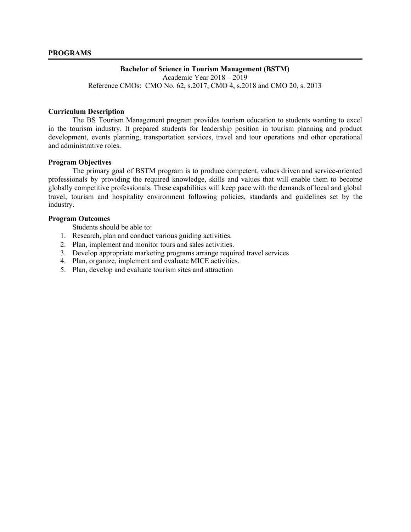#### **Bachelor of Science in Tourism Management (BSTM)**

Academic Year 2018 – 2019 Reference CMOs: CMO No. 62, s.2017, CMO 4, s.2018 and CMO 20, s. 2013

#### **Curriculum Description**

The BS Tourism Management program provides tourism education to students wanting to excel in the tourism industry. It prepared students for leadership position in tourism planning and product development, events planning, transportation services, travel and tour operations and other operational and administrative roles.

## **Program Objectives**

The primary goal of BSTM program is to produce competent, values driven and service-oriented professionals by providing the required knowledge, skills and values that will enable them to become globally competitive professionals. These capabilities will keep pace with the demands of local and global travel, tourism and hospitality environment following policies, standards and guidelines set by the industry.

## **Program Outcomes**

Students should be able to:

- 1. Research, plan and conduct various guiding activities.
- 2. Plan, implement and monitor tours and sales activities.
- 3. Develop appropriate marketing programs arrange required travel services
- 4. Plan, organize, implement and evaluate MICE activities.
- 5. Plan, develop and evaluate tourism sites and attraction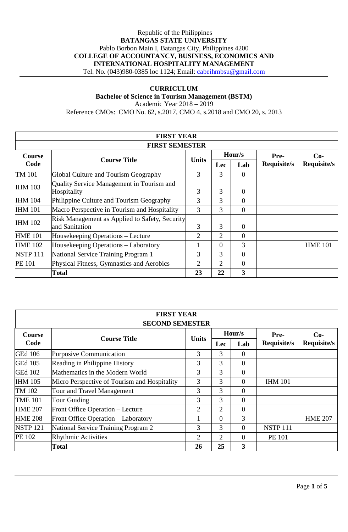# Republic of the Philippines **BATANGAS STATE UNIVERSITY** Pablo Borbon Main I, Batangas City, Philippines 4200 **COLLEGE OF ACCOUNTANCY, BUSINESS, ECONOMICS AND INTERNATIONAL HOSPITALITY MANAGEMENT** Tel. No. (043)980-0385 loc 1124; Email: [cabeihmbsu@gmail.com](mailto:cabeihmbsu@gmail.com)

## **CURRICULUM**

**Bachelor of Science in Tourism Management (BSTM)**

Academic Year 2018 – 2019 Reference CMOs: CMO No. 62, s.2017, CMO 4, s.2018 and CMO 20, s. 2013

|                       | <b>FIRST YEAR</b>                                                |              |                |                |             |                    |  |  |
|-----------------------|------------------------------------------------------------------|--------------|----------------|----------------|-------------|--------------------|--|--|
| <b>FIRST SEMESTER</b> |                                                                  |              |                |                |             |                    |  |  |
| <b>Course</b>         | <b>Course Title</b><br>Code                                      |              |                | Hour/s         | Pre-        | $Co-$              |  |  |
|                       |                                                                  | <b>Units</b> | <b>Lec</b>     | Lab            | Requisite/s | <b>Requisite/s</b> |  |  |
| TM 101                | Global Culture and Tourism Geography                             | 3            | 3              | $\Omega$       |             |                    |  |  |
| <b>IHM 103</b>        | Quality Service Management in Tourism and<br>Hospitality         | 3            | 3              | $\theta$       |             |                    |  |  |
| <b>IHM 104</b>        | Philippine Culture and Tourism Geography                         | 3            | 3              | $\overline{0}$ |             |                    |  |  |
| <b>IHM 101</b>        | Macro Perspective in Tourism and Hospitality                     | 3            | 3              | $\theta$       |             |                    |  |  |
| <b>IHM 102</b>        | Risk Management as Applied to Safety, Security<br>and Sanitation | 3            | 3              | $\theta$       |             |                    |  |  |
| <b>HME 101</b>        | Housekeeping Operations – Lecture                                | 2            | 2              | $\Omega$       |             |                    |  |  |
| <b>HME 102</b>        | Housekeeping Operations – Laboratory                             |              | $\Omega$       | 3              |             | <b>HME 101</b>     |  |  |
| <b>NSTP 111</b>       | National Service Training Program 1                              | 3            | 3              | $\Omega$       |             |                    |  |  |
| <b>PE 101</b>         | Physical Fitness, Gymnastics and Aerobics                        | 2            | $\overline{2}$ | $\theta$       |             |                    |  |  |
|                       | Total                                                            | 23           | 22             | 3              |             |                    |  |  |

|                        | <b>FIRST YEAR</b>                            |                |          |                |                    |                    |  |
|------------------------|----------------------------------------------|----------------|----------|----------------|--------------------|--------------------|--|
| <b>SECOND SEMESTER</b> |                                              |                |          |                |                    |                    |  |
| <b>Course</b>          |                                              |                |          | Hour/s         | Pre-               | $Co-$              |  |
| Code                   | <b>Course Title</b>                          | <b>Units</b>   | Lec      | Lab            | <b>Requisite/s</b> | <b>Requisite/s</b> |  |
| <b>GEd 106</b>         | Purposive Communication                      | 3              | 3        | $\Omega$       |                    |                    |  |
| <b>GEd 105</b>         | Reading in Philippine History                | 3              | 3        | $\Omega$       |                    |                    |  |
| <b>GEd 102</b>         | Mathematics in the Modern World              | 3              | 3        | $\overline{0}$ |                    |                    |  |
| <b>IHM 105</b>         | Micro Perspective of Tourism and Hospitality | 3              | 3        | $\Omega$       | <b>IHM 101</b>     |                    |  |
| TM 102                 | Tour and Travel Management                   | 3              | 3        | $\Omega$       |                    |                    |  |
| <b>TME 101</b>         | Tour Guiding                                 | 3              | 3        | $\theta$       |                    |                    |  |
| <b>HME 207</b>         | Front Office Operation - Lecture             | $\overline{2}$ | 2        | $\Omega$       |                    |                    |  |
| <b>HME 208</b>         | Front Office Operation - Laboratory          |                | $\Omega$ | 3              |                    | <b>HME 207</b>     |  |
| <b>NSTP 121</b>        | National Service Training Program 2          | 3              | 3        | $\Omega$       | <b>NSTP 111</b>    |                    |  |
| PE 102                 | <b>Rhythmic Activities</b>                   | 2              | 2        | $\Omega$       | <b>PE 101</b>      |                    |  |
|                        | Total                                        | 26             | 25       | 3              |                    |                    |  |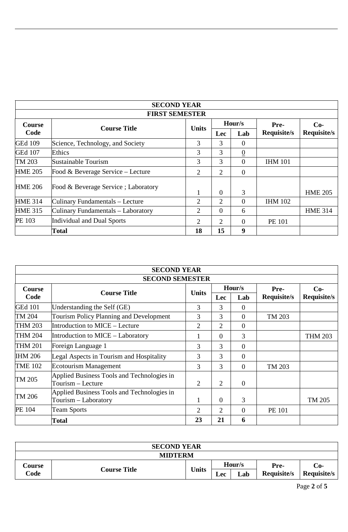|                       |                                     | <b>SECOND YEAR</b> |                             |                |                |                    |  |  |
|-----------------------|-------------------------------------|--------------------|-----------------------------|----------------|----------------|--------------------|--|--|
| <b>FIRST SEMESTER</b> |                                     |                    |                             |                |                |                    |  |  |
| <b>Course</b>         |                                     | <b>Units</b>       |                             | Hour/s         | Pre-           | $Co-$              |  |  |
| Code                  | <b>Course Title</b>                 |                    | <b>Lec</b>                  | Lab            | Requisite/s    | <b>Requisite/s</b> |  |  |
| <b>GEd 109</b>        | Science, Technology, and Society    | 3                  | 3                           | $\Omega$       |                |                    |  |  |
| <b>GEd 107</b>        | Ethics                              | 3                  | 3                           | $\overline{0}$ |                |                    |  |  |
| TM 203                | Sustainable Tourism                 | 3                  | 3                           | $\Omega$       | <b>IHM 101</b> |                    |  |  |
| <b>HME 205</b>        | Food & Beverage Service - Lecture   | 2                  | 2                           | $\Omega$       |                |                    |  |  |
| <b>HME 206</b>        | Food & Beverage Service; Laboratory |                    | $\theta$                    | 3              |                | <b>HME 205</b>     |  |  |
| <b>HME 314</b>        | Culinary Fundamentals - Lecture     | 2                  | $\mathcal{D}_{\mathcal{L}}$ | $\Omega$       | <b>IHM 102</b> |                    |  |  |
| <b>HME 315</b>        | Culinary Fundamentals – Laboratory  | 2                  | $\theta$                    | 6              |                | <b>HME 314</b>     |  |  |
| <b>PE 103</b>         | Individual and Dual Sports          | $\overline{2}$     | 2                           | $\theta$       | PE 101         |                    |  |  |
|                       | <b>Total</b>                        | 18                 | 15                          | 9              |                |                    |  |  |

|                        | <b>SECOND YEAR</b>                                                 |                |                |          |                    |                    |  |  |
|------------------------|--------------------------------------------------------------------|----------------|----------------|----------|--------------------|--------------------|--|--|
| <b>SECOND SEMESTER</b> |                                                                    |                |                |          |                    |                    |  |  |
| Course                 |                                                                    |                |                | Hour/s   | Pre-               | $Co-$              |  |  |
| Code                   | <b>Course Title</b>                                                | <b>Units</b>   | <b>Lec</b>     | Lab      | <b>Requisite/s</b> | <b>Requisite/s</b> |  |  |
| <b>GEd 101</b>         | Understanding the Self (GE)                                        | 3              | 3              | $\theta$ |                    |                    |  |  |
| TM 204                 | <b>Tourism Policy Planning and Development</b>                     | 3              | 3              | $\theta$ | TM 203             |                    |  |  |
| <b>THM 203</b>         | Introduction to MICE – Lecture                                     | $\overline{2}$ | $\overline{2}$ | $\Omega$ |                    |                    |  |  |
| <b>THM 204</b>         | Introduction to MICE - Laboratory                                  | 1              | $\Omega$       | 3        |                    | <b>THM 203</b>     |  |  |
| <b>THM 201</b>         | Foreign Language 1                                                 | 3              | 3              | $\theta$ |                    |                    |  |  |
| <b>IHM 206</b>         | Legal Aspects in Tourism and Hospitality                           | 3              | 3              | $\Omega$ |                    |                    |  |  |
| <b>TME 102</b>         | Ecotourism Management                                              | 3              | 3              | $\theta$ | TM 203             |                    |  |  |
| TM 205                 | Applied Business Tools and Technologies in<br>Tourism - Lecture    | $\overline{2}$ | $\overline{2}$ | $\theta$ |                    |                    |  |  |
| TM 206                 | Applied Business Tools and Technologies in<br>Tourism – Laboratory | 1              | $\overline{0}$ | 3        |                    | TM 205             |  |  |
| <b>PE 104</b>          | <b>Team Sports</b>                                                 | 2              | 2              | $\theta$ | PE 101             |                    |  |  |
|                        | <b>Total</b>                                                       | 23             | 21             | 6        |                    |                    |  |  |

| <b>SECOND YEAR</b> |                     |              |        |     |                    |             |  |
|--------------------|---------------------|--------------|--------|-----|--------------------|-------------|--|
| <b>MIDTERM</b>     |                     |              |        |     |                    |             |  |
| <b>Course</b>      | <b>Course Title</b> | <b>Units</b> | Hour/s |     | Pre-               | Co-         |  |
| Code               |                     |              | Lec    | Lab | <b>Requisite/s</b> | Requisite/s |  |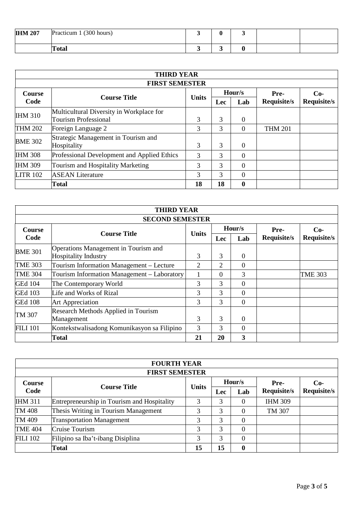| <b>IHM 207</b> | Practicum 1 (300 hours) |  |  |  |
|----------------|-------------------------|--|--|--|
|                | <b>Total</b>            |  |  |  |

|                       | <b>THIRD YEAR</b>                           |              |            |                  |                |                    |  |  |
|-----------------------|---------------------------------------------|--------------|------------|------------------|----------------|--------------------|--|--|
| <b>FIRST SEMESTER</b> |                                             |              |            |                  |                |                    |  |  |
| <b>Course</b>         | <b>Course Title</b>                         |              |            | Hour/s           | Pre-           | $Co-$              |  |  |
| Code                  |                                             | <b>Units</b> | <b>Lec</b> | Lab              | Requisite/s    | <b>Requisite/s</b> |  |  |
| <b>IHM 310</b>        | Multicultural Diversity in Workplace for    |              |            |                  |                |                    |  |  |
|                       | <b>Tourism Professional</b>                 | 3            | 3          | $\theta$         |                |                    |  |  |
| <b>THM 202</b>        | Foreign Language 2                          | 3            | 3          | 0                | <b>THM 201</b> |                    |  |  |
| <b>BME 302</b>        | Strategic Management in Tourism and         |              |            |                  |                |                    |  |  |
|                       | Hospitality                                 | 3            | 3          | $\Omega$         |                |                    |  |  |
| <b>IHM 308</b>        | Professional Development and Applied Ethics | 3            | 3          | 0                |                |                    |  |  |
| <b>IHM 309</b>        | <b>Tourism and Hospitality Marketing</b>    | 3            | 3          | $\theta$         |                |                    |  |  |
| <b>LITR 102</b>       | <b>ASEAN</b> Literature                     | 3            | 3          | $\theta$         |                |                    |  |  |
|                       | Total                                       | 18           | 18         | $\boldsymbol{0}$ |                |                    |  |  |

|                             | <b>THIRD YEAR</b>                           |            |                |             |                    |                |  |  |
|-----------------------------|---------------------------------------------|------------|----------------|-------------|--------------------|----------------|--|--|
| <b>SECOND SEMESTER</b>      |                                             |            |                |             |                    |                |  |  |
| <b>Course</b>               |                                             |            |                | Hour/s      | Pre-               | $Co-$          |  |  |
| <b>Course Title</b><br>Code | <b>Units</b>                                | <b>Lec</b> | Lab            | Requisite/s | <b>Requisite/s</b> |                |  |  |
| <b>BME 301</b>              | Operations Management in Tourism and        |            |                |             |                    |                |  |  |
|                             | <b>Hospitality Industry</b>                 | 3          | 3              | $\Omega$    |                    |                |  |  |
| <b>TME 303</b>              | Tourism Information Management – Lecture    | 2          | $\overline{2}$ | $\Omega$    |                    |                |  |  |
| <b>TME 304</b>              | Tourism Information Management - Laboratory |            | $\theta$       | 3           |                    | <b>TME 303</b> |  |  |
| <b>GEd 104</b>              | The Contemporary World                      | 3          | 3              | $\Omega$    |                    |                |  |  |
| <b>GEd 103</b>              | Life and Works of Rizal                     | 3          | 3              | $\Omega$    |                    |                |  |  |
| <b>GEd 108</b>              | <b>Art Appreciation</b>                     | 3          | 3              | $\Omega$    |                    |                |  |  |
| TM 307                      | <b>Research Methods Applied in Tourism</b>  |            |                |             |                    |                |  |  |
|                             | Management                                  | 3          | 3              | $\Omega$    |                    |                |  |  |
| <b>FILI 101</b>             | Kontekstwalisadong Komunikasyon sa Filipino | 3          | 3              | $\Omega$    |                    |                |  |  |
|                             | Total                                       | 21         | 20             | 3           |                    |                |  |  |

|                 | <b>FOURTH YEAR</b>                          |              |            |     |                |                    |  |  |  |
|-----------------|---------------------------------------------|--------------|------------|-----|----------------|--------------------|--|--|--|
|                 | <b>FIRST SEMESTER</b>                       |              |            |     |                |                    |  |  |  |
| <b>Course</b>   |                                             |              | Hour/s     |     | Pre-           | $Co-$              |  |  |  |
| Code            | <b>Course Title</b>                         | <b>Units</b> | <b>Lec</b> | Lab | Requisite/s    | <b>Requisite/s</b> |  |  |  |
| <b>IHM 311</b>  | Entrepreneurship in Tourism and Hospitality | 3            | 3          |     | <b>IHM 309</b> |                    |  |  |  |
| TM 408          | Thesis Writing in Tourism Management        | 3            | 3          | 0   | TM 307         |                    |  |  |  |
| TM 409          | <b>Transportation Management</b>            | 3            | 3          | 0   |                |                    |  |  |  |
| <b>TME 404</b>  | Cruise Tourism                              | 3            | 3          | 0   |                |                    |  |  |  |
| <b>FILI 102</b> | Filipino sa Iba't-ibang Disiplina           | 3            | 3          | 0   |                |                    |  |  |  |
|                 | Total                                       | 15           | 15         | 0   |                |                    |  |  |  |